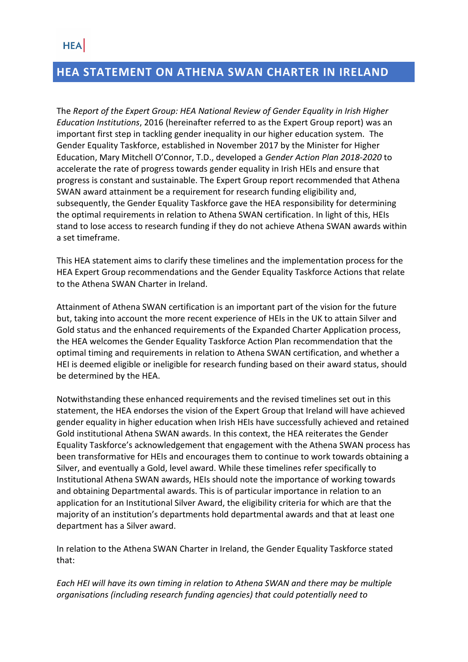### **HEA STATEMENT ON ATHENA SWAN CHARTER IN IRELAND**

The *Report of the Expert Group: HEA National Review of Gender Equality in Irish Higher Education Institutions*, 2016 (hereinafter referred to as the Expert Group report) was an important first step in tackling gender inequality in our higher education system. The Gender Equality Taskforce, established in November 2017 by the Minister for Higher Education, Mary Mitchell O'Connor, T.D., developed a *Gender Action Plan 2018-2020* to accelerate the rate of progress towards gender equality in Irish HEIs and ensure that progress is constant and sustainable. The Expert Group report recommended that Athena SWAN award attainment be a requirement for research funding eligibility and, subsequently, the Gender Equality Taskforce gave the HEA responsibility for determining the optimal requirements in relation to Athena SWAN certification. In light of this, HEIs stand to lose access to research funding if they do not achieve Athena SWAN awards within a set timeframe.

This HEA statement aims to clarify these timelines and the implementation process for the HEA Expert Group recommendations and the Gender Equality Taskforce Actions that relate to the Athena SWAN Charter in Ireland.

Attainment of Athena SWAN certification is an important part of the vision for the future but, taking into account the more recent experience of HEIs in the UK to attain Silver and Gold status and the enhanced requirements of the Expanded Charter Application process, the HEA welcomes the Gender Equality Taskforce Action Plan recommendation that the optimal timing and requirements in relation to Athena SWAN certification, and whether a HEI is deemed eligible or ineligible for research funding based on their award status, should be determined by the HEA.

Notwithstanding these enhanced requirements and the revised timelines set out in this statement, the HEA endorses the vision of the Expert Group that Ireland will have achieved gender equality in higher education when Irish HEIs have successfully achieved and retained Gold institutional Athena SWAN awards. In this context, the HEA reiterates the Gender Equality Taskforce's acknowledgement that engagement with the Athena SWAN process has been transformative for HEIs and encourages them to continue to work towards obtaining a Silver, and eventually a Gold, level award. While these timelines refer specifically to Institutional Athena SWAN awards, HEIs should note the importance of working towards and obtaining Departmental awards. This is of particular importance in relation to an application for an Institutional Silver Award, the eligibility criteria for which are that the majority of an institution's departments hold departmental awards and that at least one department has a Silver award.

In relation to the Athena SWAN Charter in Ireland, the Gender Equality Taskforce stated that:

*Each HEI will have its own timing in relation to Athena SWAN and there may be multiple organisations (including research funding agencies) that could potentially need to*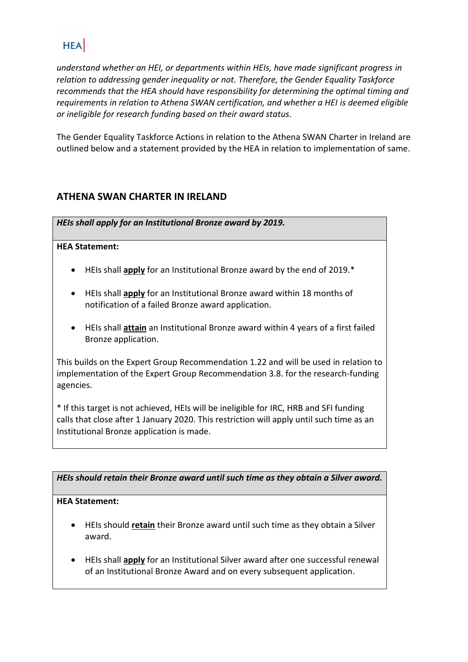## **HEA**

*understand whether an HEI, or departments within HEIs, have made significant progress in relation to addressing gender inequality or not. Therefore, the Gender Equality Taskforce recommends that the HEA should have responsibility for determining the optimal timing and requirements in relation to Athena SWAN certification, and whether a HEI is deemed eligible or ineligible for research funding based on their award status.*

The Gender Equality Taskforce Actions in relation to the Athena SWAN Charter in Ireland are outlined below and a statement provided by the HEA in relation to implementation of same.

### **ATHENA SWAN CHARTER IN IRELAND**

*HEIs shall apply for an Institutional Bronze award by 2019.* 

#### **HEA Statement:**

- HEIs shall **apply** for an Institutional Bronze award by the end of 2019.\*
- HEIs shall **apply** for an Institutional Bronze award within 18 months of notification of a failed Bronze award application.
- HEIs shall **attain** an Institutional Bronze award within 4 years of a first failed Bronze application.

This builds on the Expert Group Recommendation 1.22 and will be used in relation to implementation of the Expert Group Recommendation 3.8. for the research-funding agencies.

\* If this target is not achieved, HEIs will be ineligible for IRC, HRB and SFI funding calls that close after 1 January 2020. This restriction will apply until such time as an Institutional Bronze application is made.

*HEIs should retain their Bronze award until such time as they obtain a Silver award.* 

#### **HEA Statement:**

- HEIs should **retain** their Bronze award until such time as they obtain a Silver award.
- HEIs shall **apply** for an Institutional Silver award after one successful renewal of an Institutional Bronze Award and on every subsequent application.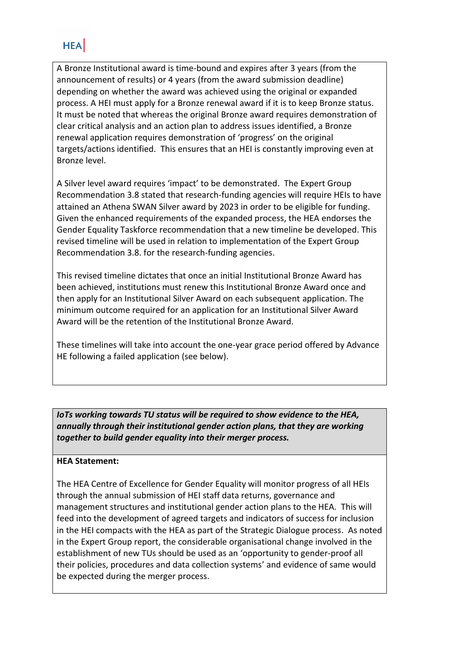## **HEA**

A Bronze Institutional award is time-bound and expires after 3 years (from the announcement of results) or 4 years (from the award submission deadline) depending on whether the award was achieved using the original or expanded process. A HEI must apply for a Bronze renewal award if it is to keep Bronze status. It must be noted that whereas the original Bronze award requires demonstration of clear critical analysis and an action plan to address issues identified, a Bronze renewal application requires demonstration of 'progress' on the original targets/actions identified. This ensures that an HEI is constantly improving even at Bronze level.

A Silver level award requires 'impact' to be demonstrated. The Expert Group Recommendation 3.8 stated that research-funding agencies will require HEIs to have attained an Athena SWAN Silver award by 2023 in order to be eligible for funding. Given the enhanced requirements of the expanded process, the HEA endorses the Gender Equality Taskforce recommendation that a new timeline be developed. This revised timeline will be used in relation to implementation of the Expert Group Recommendation 3.8. for the research-funding agencies.

This revised timeline dictates that once an initial Institutional Bronze Award has been achieved, institutions must renew this Institutional Bronze Award once and then apply for an Institutional Silver Award on each subsequent application. The minimum outcome required for an application for an Institutional Silver Award Award will be the retention of the Institutional Bronze Award.

These timelines will take into account the one-year grace period offered by Advance HE following a failed application (see below).

*IoTs working towards TU status will be required to show evidence to the HEA, annually through their institutional gender action plans, that they are working together to build gender equality into their merger process.* 

#### **HEA Statement:**

The HEA Centre of Excellence for Gender Equality will monitor progress of all HEIs through the annual submission of HEI staff data returns, governance and management structures and institutional gender action plans to the HEA. This will feed into the development of agreed targets and indicators of success for inclusion in the HEI compacts with the HEA as part of the Strategic Dialogue process. As noted in the Expert Group report, the considerable organisational change involved in the establishment of new TUs should be used as an 'opportunity to gender-proof all their policies, procedures and data collection systems' and evidence of same would be expected during the merger process.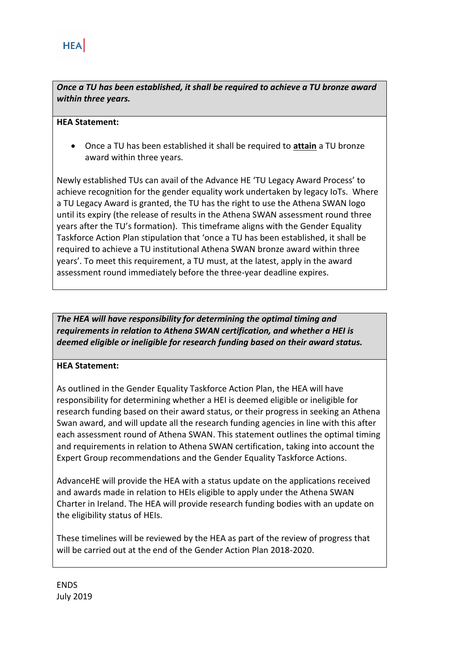*Once a TU has been established, it shall be required to achieve a TU bronze award within three years.* 

#### **HEA Statement:**

• Once a TU has been established it shall be required to **attain** a TU bronze award within three years.

Newly established TUs can avail of the Advance HE 'TU Legacy Award Process' to achieve recognition for the gender equality work undertaken by legacy IoTs. Where a TU Legacy Award is granted, the TU has the right to use the Athena SWAN logo until its expiry (the release of results in the Athena SWAN assessment round three years after the TU's formation). This timeframe aligns with the Gender Equality Taskforce Action Plan stipulation that 'once a TU has been established, it shall be required to achieve a TU institutional Athena SWAN bronze award within three years'. To meet this requirement, a TU must, at the latest, apply in the award assessment round immediately before the three-year deadline expires.

*The HEA will have responsibility for determining the optimal timing and requirements in relation to Athena SWAN certification, and whether a HEI is deemed eligible or ineligible for research funding based on their award status.* 

#### **HEA Statement:**

As outlined in the Gender Equality Taskforce Action Plan, the HEA will have responsibility for determining whether a HEI is deemed eligible or ineligible for research funding based on their award status, or their progress in seeking an Athena Swan award, and will update all the research funding agencies in line with this after each assessment round of Athena SWAN. This statement outlines the optimal timing and requirements in relation to Athena SWAN certification, taking into account the Expert Group recommendations and the Gender Equality Taskforce Actions.

AdvanceHE will provide the HEA with a status update on the applications received and awards made in relation to HEIs eligible to apply under the Athena SWAN Charter in Ireland. The HEA will provide research funding bodies with an update on the eligibility status of HEIs.

These timelines will be reviewed by the HEA as part of the review of progress that will be carried out at the end of the Gender Action Plan 2018-2020.

ENDS July 2019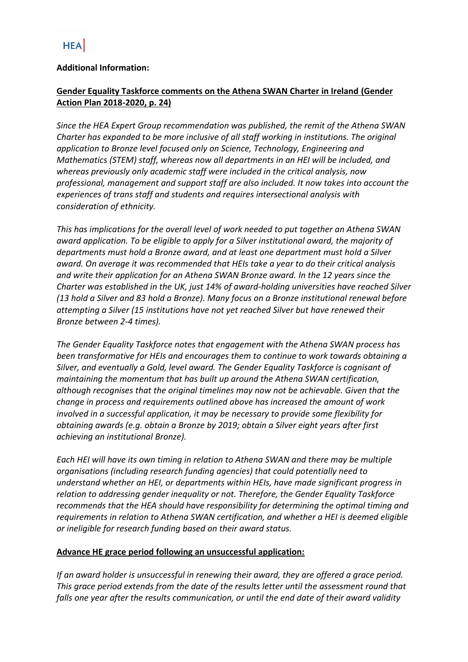#### **Additional Information:**

#### **Gender Equality Taskforce comments on the Athena SWAN Charter in Ireland (Gender Action Plan 2018-2020, p. 24)**

*Since the HEA Expert Group recommendation was published, the remit of the Athena SWAN Charter has expanded to be more inclusive of all staff working in institutions. The original application to Bronze level focused only on Science, Technology, Engineering and Mathematics (STEM) staff, whereas now all departments in an HEI will be included, and whereas previously only academic staff were included in the critical analysis, now professional, management and support staff are also included. It now takes into account the experiences of trans staff and students and requires intersectional analysis with consideration of ethnicity.* 

*This has implications for the overall level of work needed to put together an Athena SWAN award application. To be eligible to apply for a Silver institutional award, the majority of departments must hold a Bronze award, and at least one department must hold a Silver award. On average it was recommended that HEIs take a year to do their critical analysis and write their application for an Athena SWAN Bronze award. In the 12 years since the Charter was established in the UK, just 14% of award-holding universities have reached Silver (13 hold a Silver and 83 hold a Bronze). Many focus on a Bronze institutional renewal before attempting a Silver (15 institutions have not yet reached Silver but have renewed their Bronze between 2-4 times).*

*The Gender Equality Taskforce notes that engagement with the Athena SWAN process has been transformative for HEIs and encourages them to continue to work towards obtaining a Silver, and eventually a Gold, level award. The Gender Equality Taskforce is cognisant of maintaining the momentum that has built up around the Athena SWAN certification, although recognises that the original timelines may now not be achievable. Given that the change in process and requirements outlined above has increased the amount of work involved in a successful application, it may be necessary to provide some flexibility for obtaining awards (e.g. obtain a Bronze by 2019; obtain a Silver eight years after first achieving an institutional Bronze).* 

*Each HEI will have its own timing in relation to Athena SWAN and there may be multiple organisations (including research funding agencies) that could potentially need to understand whether an HEI, or departments within HEIs, have made significant progress in relation to addressing gender inequality or not. Therefore, the Gender Equality Taskforce recommends that the HEA should have responsibility for determining the optimal timing and requirements in relation to Athena SWAN certification, and whether a HEI is deemed eligible or ineligible for research funding based on their award status.*

#### **Advance HE grace period following an unsuccessful application:**

*If an award holder is unsuccessful in renewing their award, they are offered a grace period. This grace period extends from the date of the results letter until the assessment round that falls one year after the results communication, or until the end date of their award validity*